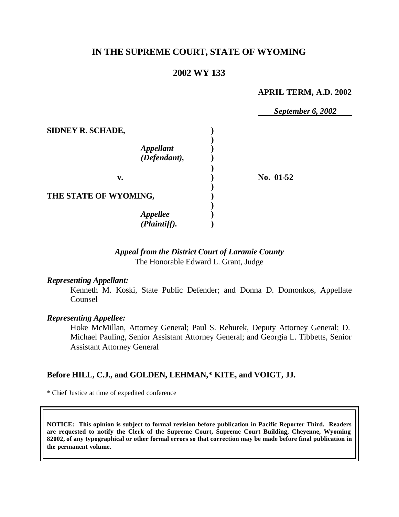# **IN THE SUPREME COURT, STATE OF WYOMING**

## **2002 WY 133**

#### **APRIL TERM, A.D. 2002**

*September 6, 2002*

| SIDNEY R. SCHADE,                |           |
|----------------------------------|-----------|
| <b>Appellant</b><br>(Defendant), |           |
| v.                               | No. 01-52 |
| THE STATE OF WYOMING,            |           |
| <b>Appellee</b><br>(Plaintiff).  |           |

## *Appeal from the District Court of Laramie County* The Honorable Edward L. Grant, Judge

#### *Representing Appellant:*

Kenneth M. Koski, State Public Defender; and Donna D. Domonkos, Appellate Counsel

#### *Representing Appellee:*

Hoke McMillan, Attorney General; Paul S. Rehurek, Deputy Attorney General; D. Michael Pauling, Senior Assistant Attorney General; and Georgia L. Tibbetts, Senior Assistant Attorney General

## **Before HILL, C.J., and GOLDEN, LEHMAN,\* KITE, and VOIGT, JJ.**

\* Chief Justice at time of expedited conference

**NOTICE: This opinion is subject to formal revision before publication in Pacific Reporter Third. Readers are requested to notify the Clerk of the Supreme Court, Supreme Court Building, Cheyenne, Wyoming 82002, of any typographical or other formal errors so that correction may be made before final publication in the permanent volume.**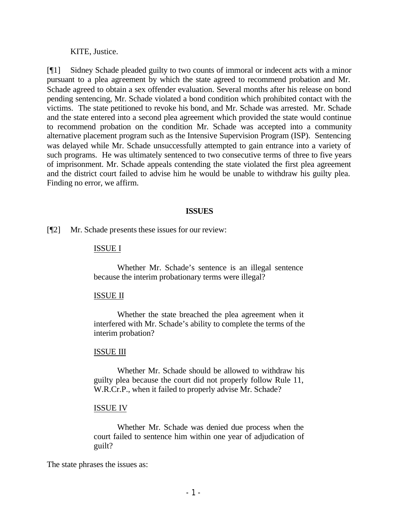KITE, Justice.

[¶1] Sidney Schade pleaded guilty to two counts of immoral or indecent acts with a minor pursuant to a plea agreement by which the state agreed to recommend probation and Mr. Schade agreed to obtain a sex offender evaluation. Several months after his release on bond pending sentencing, Mr. Schade violated a bond condition which prohibited contact with the victims. The state petitioned to revoke his bond, and Mr. Schade was arrested. Mr. Schade and the state entered into a second plea agreement which provided the state would continue to recommend probation on the condition Mr. Schade was accepted into a community alternative placement program such as the Intensive Supervision Program (ISP). Sentencing was delayed while Mr. Schade unsuccessfully attempted to gain entrance into a variety of such programs. He was ultimately sentenced to two consecutive terms of three to five years of imprisonment. Mr. Schade appeals contending the state violated the first plea agreement and the district court failed to advise him he would be unable to withdraw his guilty plea. Finding no error, we affirm.

### **ISSUES**

[¶2] Mr. Schade presents these issues for our review:

### ISSUE I

Whether Mr. Schade's sentence is an illegal sentence because the interim probationary terms were illegal?

#### ISSUE II

Whether the state breached the plea agreement when it interfered with Mr. Schade's ability to complete the terms of the interim probation?

## ISSUE III

Whether Mr. Schade should be allowed to withdraw his guilty plea because the court did not properly follow Rule 11, W.R.Cr.P., when it failed to properly advise Mr. Schade?

#### ISSUE IV

Whether Mr. Schade was denied due process when the court failed to sentence him within one year of adjudication of guilt?

The state phrases the issues as: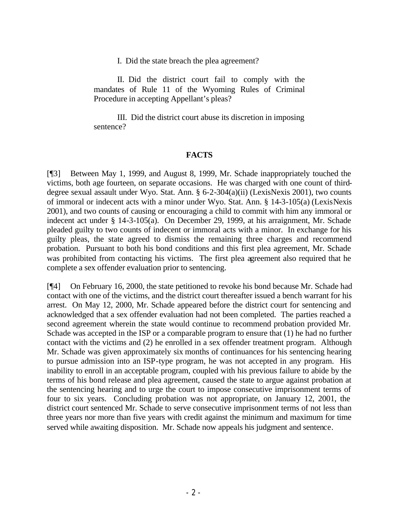I. Did the state breach the plea agreement?

II. Did the district court fail to comply with the mandates of Rule 11 of the Wyoming Rules of Criminal Procedure in accepting Appellant's pleas?

III. Did the district court abuse its discretion in imposing sentence?

## **FACTS**

[¶3] Between May 1, 1999, and August 8, 1999, Mr. Schade inappropriately touched the victims, both age fourteen, on separate occasions. He was charged with one count of thirddegree sexual assault under Wyo. Stat. Ann. § 6-2-304(a)(ii) (LexisNexis 2001), two counts of immoral or indecent acts with a minor under Wyo. Stat. Ann. § 14-3-105(a) (LexisNexis 2001), and two counts of causing or encouraging a child to commit with him any immoral or indecent act under § 14-3-105(a). On December 29, 1999, at his arraignment, Mr. Schade pleaded guilty to two counts of indecent or immoral acts with a minor. In exchange for his guilty pleas, the state agreed to dismiss the remaining three charges and recommend probation. Pursuant to both his bond conditions and this first plea agreement, Mr. Schade was prohibited from contacting his victims. The first plea agreement also required that he complete a sex offender evaluation prior to sentencing.

[¶4] On February 16, 2000, the state petitioned to revoke his bond because Mr. Schade had contact with one of the victims, and the district court thereafter issued a bench warrant for his arrest. On May 12, 2000, Mr. Schade appeared before the district court for sentencing and acknowledged that a sex offender evaluation had not been completed. The parties reached a second agreement wherein the state would continue to recommend probation provided Mr. Schade was accepted in the ISP or a comparable program to ensure that (1) he had no further contact with the victims and (2) he enrolled in a sex offender treatment program. Although Mr. Schade was given approximately six months of continuances for his sentencing hearing to pursue admission into an ISP-type program, he was not accepted in any program. His inability to enroll in an acceptable program, coupled with his previous failure to abide by the terms of his bond release and plea agreement, caused the state to argue against probation at the sentencing hearing and to urge the court to impose consecutive imprisonment terms of four to six years. Concluding probation was not appropriate, on January 12, 2001, the district court sentenced Mr. Schade to serve consecutive imprisonment terms of not less than three years nor more than five years with credit against the minimum and maximum for time served while awaiting disposition. Mr. Schade now appeals his judgment and sentence.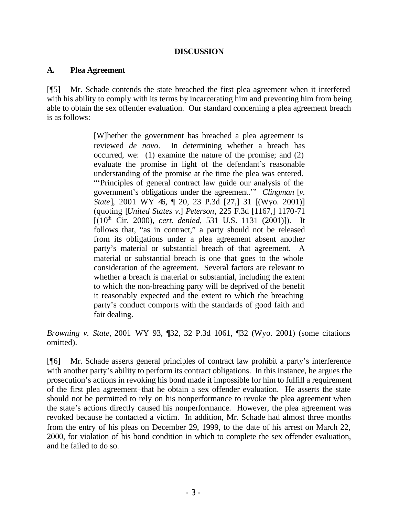## **DISCUSSION**

### **A. Plea Agreement**

[¶5] Mr. Schade contends the state breached the first plea agreement when it interfered with his ability to comply with its terms by incarcerating him and preventing him from being able to obtain the sex offender evaluation. Our standard concerning a plea agreement breach is as follows:

> [W]hether the government has breached a plea agreement is reviewed *de novo*. In determining whether a breach has occurred, we: (1) examine the nature of the promise; and (2) evaluate the promise in light of the defendant's reasonable understanding of the promise at the time the plea was entered. "'Principles of general contract law guide our analysis of the government's obligations under the agreement.'" *Clingman* [*v. State*], 2001 WY 46, ¶ 20, 23 P.3d [27,] 31 [(Wyo. 2001)] (quoting [*United States v.*] *Peterson*, 225 F.3d [1167,] 1170-71  $[(10<sup>th</sup> Cir. 2000), cert. denied, 531 U.S. 1131 (2001)]).$  It follows that, "as in contract," a party should not be released from its obligations under a plea agreement absent another party's material or substantial breach of that agreement. A material or substantial breach is one that goes to the whole consideration of the agreement. Several factors are relevant to whether a breach is material or substantial, including the extent to which the non-breaching party will be deprived of the benefit it reasonably expected and the extent to which the breaching party's conduct comports with the standards of good faith and fair dealing.

*Browning v. State*, 2001 WY 93, ¶32, 32 P.3d 1061, ¶32 (Wyo. 2001) (some citations omitted).

[¶6] Mr. Schade asserts general principles of contract law prohibit a party's interference with another party's ability to perform its contract obligations. In this instance, he argues the prosecution's actions in revoking his bond made it impossible for him to fulfill a requirement of the first plea agreement–that he obtain a sex offender evaluation. He asserts the state should not be permitted to rely on his nonperformance to revoke the plea agreement when the state's actions directly caused his nonperformance. However, the plea agreement was revoked because he contacted a victim. In addition, Mr. Schade had almost three months from the entry of his pleas on December 29, 1999, to the date of his arrest on March 22, 2000, for violation of his bond condition in which to complete the sex offender evaluation, and he failed to do so.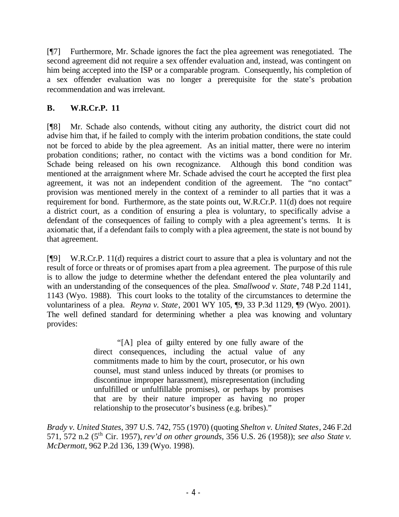[¶7] Furthermore, Mr. Schade ignores the fact the plea agreement was renegotiated. The second agreement did not require a sex offender evaluation and, instead, was contingent on him being accepted into the ISP or a comparable program. Consequently, his completion of a sex offender evaluation was no longer a prerequisite for the state's probation recommendation and was irrelevant.

# **B. W.R.Cr.P. 11**

[¶8] Mr. Schade also contends, without citing any authority, the district court did not advise him that, if he failed to comply with the interim probation conditions, the state could not be forced to abide by the plea agreement. As an initial matter, there were no interim probation conditions; rather, no contact with the victims was a bond condition for Mr. Schade being released on his own recognizance. Although this bond condition was mentioned at the arraignment where Mr. Schade advised the court he accepted the first plea agreement, it was not an independent condition of the agreement. The "no contact" provision was mentioned merely in the context of a reminder to all parties that it was a requirement for bond. Furthermore, as the state points out, W.R.Cr.P. 11(d) does not require a district court, as a condition of ensuring a plea is voluntary, to specifically advise a defendant of the consequences of failing to comply with a plea agreement's terms. It is axiomatic that, if a defendant fails to comply with a plea agreement, the state is not bound by that agreement.

[¶9] W.R.Cr.P. 11(d) requires a district court to assure that a plea is voluntary and not the result of force or threats or of promises apart from a plea agreement. The purpose of this rule is to allow the judge to determine whether the defendant entered the plea voluntarily and with an understanding of the consequences of the plea. *Smallwood v. State*, 748 P.2d 1141, 1143 (Wyo. 1988). This court looks to the totality of the circumstances to determine the voluntariness of a plea. *Reyna v. State*, 2001 WY 105, ¶9, 33 P.3d 1129, ¶9 (Wyo. 2001). The well defined standard for determining whether a plea was knowing and voluntary provides:

> "[A] plea of guilty entered by one fully aware of the direct consequences, including the actual value of any commitments made to him by the court, prosecutor, or his own counsel, must stand unless induced by threats (or promises to discontinue improper harassment), misrepresentation (including unfulfilled or unfulfillable promises), or perhaps by promises that are by their nature improper as having no proper relationship to the prosecutor's business (e.g. bribes)."

*Brady v. United States*, 397 U.S. 742, 755 (1970) (quoting *Shelton v. United States*, 246 F.2d 571, 572 n.2 (5th Cir. 1957), *rev'd on other grounds*, 356 U.S. 26 (1958)); *see also State v. McDermott*, 962 P.2d 136, 139 (Wyo. 1998).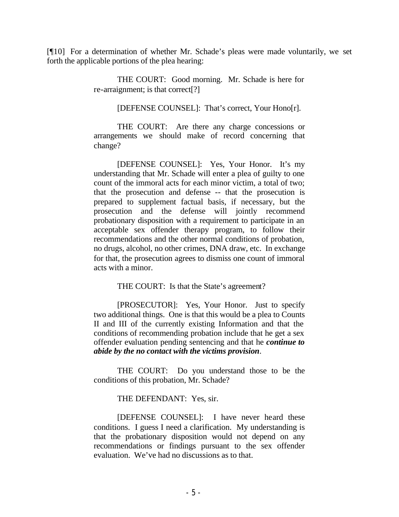[¶10] For a determination of whether Mr. Schade's pleas were made voluntarily, we set forth the applicable portions of the plea hearing:

> THE COURT: Good morning. Mr. Schade is here for re-arraignment; is that correct[?]

> > [DEFENSE COUNSEL]: That's correct, Your Hono[r].

THE COURT: Are there any charge concessions or arrangements we should make of record concerning that change?

[DEFENSE COUNSEL]: Yes, Your Honor. It's my understanding that Mr. Schade will enter a plea of guilty to one count of the immoral acts for each minor victim, a total of two; that the prosecution and defense -- that the prosecution is prepared to supplement factual basis, if necessary, but the prosecution and the defense will jointly recommend probationary disposition with a requirement to participate in an acceptable sex offender therapy program, to follow their recommendations and the other normal conditions of probation, no drugs, alcohol, no other crimes, DNA draw, etc. In exchange for that, the prosecution agrees to dismiss one count of immoral acts with a minor.

THE COURT: Is that the State's agreement?

[PROSECUTOR]: Yes, Your Honor. Just to specify two additional things. One is that this would be a plea to Counts II and III of the currently existing Information and that the conditions of recommending probation include that he get a sex offender evaluation pending sentencing and that he *continue to abide by the no contact with the victims provision*.

THE COURT: Do you understand those to be the conditions of this probation, Mr. Schade?

THE DEFENDANT: Yes, sir.

[DEFENSE COUNSEL]: I have never heard these conditions. I guess I need a clarification. My understanding is that the probationary disposition would not depend on any recommendations or findings pursuant to the sex offender evaluation. We've had no discussions as to that.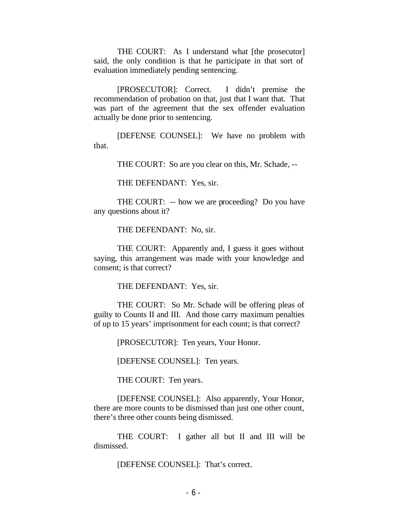THE COURT: As I understand what [the prosecutor] said, the only condition is that he participate in that sort of evaluation immediately pending sentencing.

[PROSECUTOR]: Correct. I didn't premise the recommendation of probation on that, just that I want that. That was part of the agreement that the sex offender evaluation actually be done prior to sentencing.

[DEFENSE COUNSEL]: We have no problem with that.

THE COURT: So are you clear on this, Mr. Schade, --

THE DEFENDANT: Yes, sir.

THE COURT: -- how we are proceeding? Do you have any questions about it?

THE DEFENDANT: No, sir.

THE COURT: Apparently and, I guess it goes without saying, this arrangement was made with your knowledge and consent; is that correct?

THE DEFENDANT: Yes, sir.

THE COURT: So Mr. Schade will be offering pleas of guilty to Counts II and III. And those carry maximum penalties of up to 15 years' imprisonment for each count; is that correct?

[PROSECUTOR]: Ten years, Your Honor.

[DEFENSE COUNSEL]: Ten years.

THE COURT: Ten years.

[DEFENSE COUNSEL]: Also apparently, Your Honor, there are more counts to be dismissed than just one other count, there's three other counts being dismissed.

THE COURT: I gather all but II and III will be dismissed.

[DEFENSE COUNSEL]: That's correct.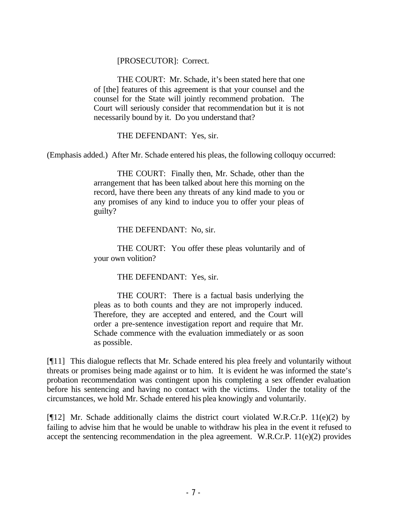[PROSECUTOR]: Correct.

THE COURT: Mr. Schade, it's been stated here that one of [the] features of this agreement is that your counsel and the counsel for the State will jointly recommend probation. The Court will seriously consider that recommendation but it is not necessarily bound by it. Do you understand that?

THE DEFENDANT: Yes, sir.

(Emphasis added.) After Mr. Schade entered his pleas, the following colloquy occurred:

THE COURT: Finally then, Mr. Schade, other than the arrangement that has been talked about here this morning on the record, have there been any threats of any kind made to you or any promises of any kind to induce you to offer your pleas of guilty?

THE DEFENDANT: No, sir.

THE COURT: You offer these pleas voluntarily and of your own volition?

THE DEFENDANT: Yes, sir.

THE COURT: There is a factual basis underlying the pleas as to both counts and they are not improperly induced. Therefore, they are accepted and entered, and the Court will order a pre-sentence investigation report and require that Mr. Schade commence with the evaluation immediately or as soon as possible.

[¶11] This dialogue reflects that Mr. Schade entered his plea freely and voluntarily without threats or promises being made against or to him. It is evident he was informed the state's probation recommendation was contingent upon his completing a sex offender evaluation before his sentencing and having no contact with the victims. Under the totality of the circumstances, we hold Mr. Schade entered his plea knowingly and voluntarily.

[¶12] Mr. Schade additionally claims the district court violated W.R.Cr.P. 11(e)(2) by failing to advise him that he would be unable to withdraw his plea in the event it refused to accept the sentencing recommendation in the plea agreement. W.R.Cr.P. 11(e)(2) provides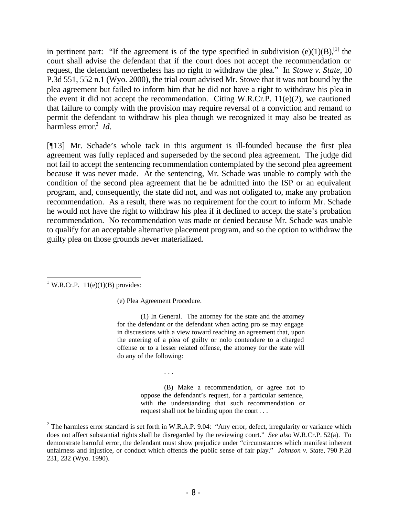in pertinent part: "If the agreement is of the type specified in subdivision  $(e)(1)(B)$ ,<sup>[1]</sup> the court shall advise the defendant that if the court does not accept the recommendation or request, the defendant nevertheless has no right to withdraw the plea." In *Stowe v. State*, 10 P.3d 551, 552 n.1 (Wyo. 2000), the trial court advised Mr. Stowe that it was not bound by the plea agreement but failed to inform him that he did not have a right to withdraw his plea in the event it did not accept the recommendation. Citing W.R.Cr.P. 11(e)(2), we cautioned that failure to comply with the provision may require reversal of a conviction and remand to permit the defendant to withdraw his plea though we recognized it may also be treated as harmless error.<sup>2</sup> *Id.* 

[¶13] Mr. Schade's whole tack in this argument is ill-founded because the first plea agreement was fully replaced and superseded by the second plea agreement. The judge did not fail to accept the sentencing recommendation contemplated by the second plea agreement because it was never made. At the sentencing, Mr. Schade was unable to comply with the condition of the second plea agreement that he be admitted into the ISP or an equivalent program, and, consequently, the state did not, and was not obligated to, make any probation recommendation. As a result, there was no requirement for the court to inform Mr. Schade he would not have the right to withdraw his plea if it declined to accept the state's probation recommendation. No recommendation was made or denied because Mr. Schade was unable to qualify for an acceptable alternative placement program, and so the option to withdraw the guilty plea on those grounds never materialized.

 <sup>1</sup> W.R.Cr.P.  $11(e)(1)(B)$  provides:

(e) Plea Agreement Procedure.

. . .

(1) In General. The attorney for the state and the attorney for the defendant or the defendant when acting pro se may engage in discussions with a view toward reaching an agreement that, upon the entering of a plea of guilty or nolo contendere to a charged offense or to a lesser related offense, the attorney for the state will do any of the following:

> (B) Make a recommendation, or agree not to oppose the defendant's request, for a particular sentence, with the understanding that such recommendation or request shall not be binding upon the court . . .

<sup>&</sup>lt;sup>2</sup> The harmless error standard is set forth in W.R.A.P. 9.04: "Any error, defect, irregularity or variance which does not affect substantial rights shall be disregarded by the reviewing court." *See also* W.R.Cr.P. 52(a). To demonstrate harmful error, the defendant must show prejudice under "circumstances which manifest inherent unfairness and injustice, or conduct which offends the public sense of fair play." *Johnson v. State*, 790 P.2d 231, 232 (Wyo. 1990).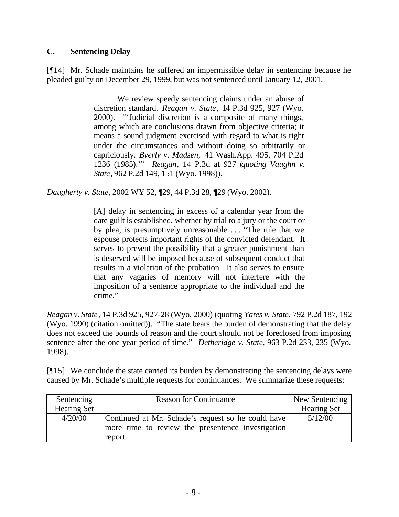## **C. Sentencing Delay**

[¶14] Mr. Schade maintains he suffered an impermissible delay in sentencing because he pleaded guilty on December 29, 1999, but was not sentenced until January 12, 2001.

> We review speedy sentencing claims under an abuse of discretion standard. *Reagan v. State*, 14 P.3d 925, 927 (Wyo. 2000). "'Judicial discretion is a composite of many things, among which are conclusions drawn from objective criteria; it means a sound judgment exercised with regard to what is right under the circumstances and without doing so arbitrarily or capriciously. *Byerly v. Madsen,* 41 Wash.App. 495, 704 P.2d 1236 (1985).'" *Reagan*, 14 P.3d at 927 (*quoting Vaughn v. State*, 962 P.2d 149, 151 (Wyo. 1998)).

*Daugherty v. State*, 2002 WY 52, ¶29, 44 P.3d 28, ¶29 (Wyo. 2002).

[A] delay in sentencing in excess of a calendar year from the date guilt is established, whether by trial to a jury or the court or by plea, is presumptively unreasonable. . . . "The rule that we espouse protects important rights of the convicted defendant. It serves to prevent the possibility that a greater punishment than is deserved will be imposed because of subsequent conduct that results in a violation of the probation. It also serves to ensure that any vagaries of memory will not interfere with the imposition of a sentence appropriate to the individual and the crime."

*Reagan v. State*, 14 P.3d 925, 927-28 (Wyo. 2000) (quoting *Yates v. State*, 792 P.2d 187, 192 (Wyo. 1990) (citation omitted)). "The state bears the burden of demonstrating that the delay does not exceed the bounds of reason and the court should not be foreclosed from imposing sentence after the one year period of time." *Detheridge v. State*, 963 P.2d 233, 235 (Wyo. 1998).

[¶15] We conclude the state carried its burden by demonstrating the sentencing delays were caused by Mr. Schade's multiple requests for continuances. We summarize these requests:

| Sentencing         | <b>Reason for Continuance</b>                                                                           | New Sentencing     |
|--------------------|---------------------------------------------------------------------------------------------------------|--------------------|
| <b>Hearing Set</b> |                                                                                                         | <b>Hearing Set</b> |
| 4/20/00            | Continued at Mr. Schade's request so he could have<br>more time to review the presentence investigation | 5/12/00            |
|                    | report.                                                                                                 |                    |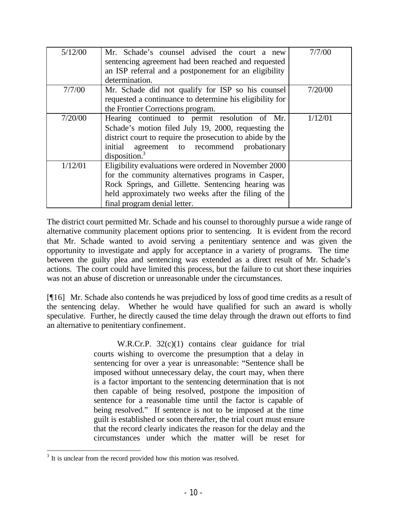| 5/12/00 | Mr. Schade's counsel advised the court a new<br>sentencing agreement had been reached and requested<br>an ISP referral and a postponement for an eligibility<br>determination.                                                                            | 7/7/00  |
|---------|-----------------------------------------------------------------------------------------------------------------------------------------------------------------------------------------------------------------------------------------------------------|---------|
| 7/7/00  | Mr. Schade did not qualify for ISP so his counsel<br>requested a continuance to determine his eligibility for<br>the Frontier Corrections program.                                                                                                        | 7/20/00 |
| 7/20/00 | Hearing continued to permit resolution of Mr.<br>Schade's motion filed July 19, 2000, requesting the<br>district court to require the prosecution to abide by the<br>initial agreement to recommend<br>probationary<br>disposition. <sup>3</sup>          | 1/12/01 |
| 1/12/01 | Eligibility evaluations were ordered in November 2000<br>for the community alternatives programs in Casper,<br>Rock Springs, and Gillette. Sentencing hearing was<br>held approximately two weeks after the filing of the<br>final program denial letter. |         |

The district court permitted Mr. Schade and his counsel to thoroughly pursue a wide range of alternative community placement options prior to sentencing. It is evident from the record that Mr. Schade wanted to avoid serving a penitentiary sentence and was given the opportunity to investigate and apply for acceptance in a variety of programs. The time between the guilty plea and sentencing was extended as a direct result of Mr. Schade's actions. The court could have limited this process, but the failure to cut short these inquiries was not an abuse of discretion or unreasonable under the circumstances.

[¶16] Mr. Schade also contends he was prejudiced by loss of good time credits as a result of the sentencing delay. Whether he would have qualified for such an award is wholly speculative. Further, he directly caused the time delay through the drawn out efforts to find an alternative to penitentiary confinement.

> W.R.Cr.P. 32(c)(1) contains clear guidance for trial courts wishing to overcome the presumption that a delay in sentencing for over a year is unreasonable: "Sentence shall be imposed without unnecessary delay, the court may, when there is a factor important to the sentencing determination that is not then capable of being resolved, postpone the imposition of sentence for a reasonable time until the factor is capable of being resolved." If sentence is not to be imposed at the time guilt is established or soon thereafter, the trial court must ensure that the record clearly indicates the reason for the delay and the circumstances under which the matter will be reset for

<sup>&</sup>lt;sup>3</sup> It is unclear from the record provided how this motion was resolved.